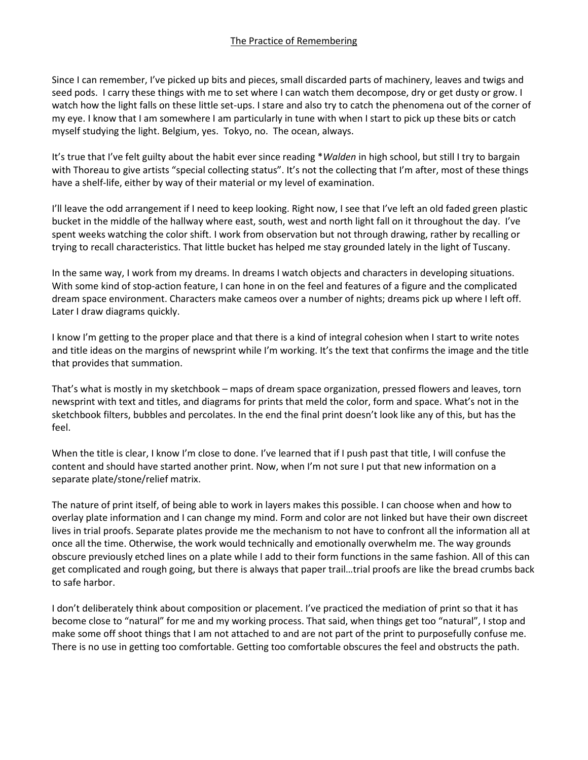Since I can remember, I've picked up bits and pieces, small discarded parts of machinery, leaves and twigs and seed pods. I carry these things with me to set where I can watch them decompose, dry or get dusty or grow. I watch how the light falls on these little set-ups. I stare and also try to catch the phenomena out of the corner of my eye. I know that I am somewhere I am particularly in tune with when I start to pick up these bits or catch myself studying the light. Belgium, yes. Tokyo, no. The ocean, always.

It's true that I've felt guilty about the habit ever since reading \**Walden* in high school, but still I try to bargain with Thoreau to give artists "special collecting status". It's not the collecting that I'm after, most of these things have a shelf-life, either by way of their material or my level of examination.

I'll leave the odd arrangement if I need to keep looking. Right now, I see that I've left an old faded green plastic bucket in the middle of the hallway where east, south, west and north light fall on it throughout the day. I've spent weeks watching the color shift. I work from observation but not through drawing, rather by recalling or trying to recall characteristics. That little bucket has helped me stay grounded lately in the light of Tuscany.

In the same way, I work from my dreams. In dreams I watch objects and characters in developing situations. With some kind of stop-action feature, I can hone in on the feel and features of a figure and the complicated dream space environment. Characters make cameos over a number of nights; dreams pick up where I left off. Later I draw diagrams quickly.

I know I'm getting to the proper place and that there is a kind of integral cohesion when I start to write notes and title ideas on the margins of newsprint while I'm working. It's the text that confirms the image and the title that provides that summation.

That's what is mostly in my sketchbook – maps of dream space organization, pressed flowers and leaves, torn newsprint with text and titles, and diagrams for prints that meld the color, form and space. What's not in the sketchbook filters, bubbles and percolates. In the end the final print doesn't look like any of this, but has the feel.

When the title is clear, I know I'm close to done. I've learned that if I push past that title, I will confuse the content and should have started another print. Now, when I'm not sure I put that new information on a separate plate/stone/relief matrix.

The nature of print itself, of being able to work in layers makes this possible. I can choose when and how to overlay plate information and I can change my mind. Form and color are not linked but have their own discreet lives in trial proofs. Separate plates provide me the mechanism to not have to confront all the information all at once all the time. Otherwise, the work would technically and emotionally overwhelm me. The way grounds obscure previously etched lines on a plate while I add to their form functions in the same fashion. All of this can get complicated and rough going, but there is always that paper trail…trial proofs are like the bread crumbs back to safe harbor.

I don't deliberately think about composition or placement. I've practiced the mediation of print so that it has become close to "natural" for me and my working process. That said, when things get too "natural", I stop and make some off shoot things that I am not attached to and are not part of the print to purposefully confuse me. There is no use in getting too comfortable. Getting too comfortable obscures the feel and obstructs the path.